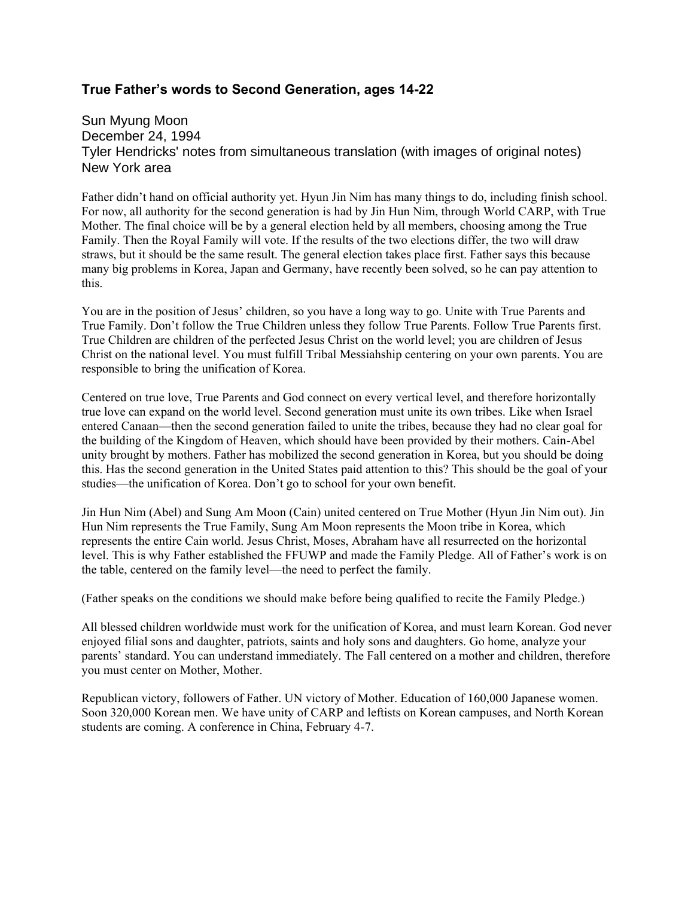## **True Father's words to Second Generation, ages 14-22**

Sun Myung Moon December 24, 1994 Tyler Hendricks' notes from simultaneous translation (with images of original notes) New York area

Father didn't hand on official authority yet. Hyun Jin Nim has many things to do, including finish school. For now, all authority for the second generation is had by Jin Hun Nim, through World CARP, with True Mother. The final choice will be by a general election held by all members, choosing among the True Family. Then the Royal Family will vote. If the results of the two elections differ, the two will draw straws, but it should be the same result. The general election takes place first. Father says this because many big problems in Korea, Japan and Germany, have recently been solved, so he can pay attention to this.

You are in the position of Jesus' children, so you have a long way to go. Unite with True Parents and True Family. Don't follow the True Children unless they follow True Parents. Follow True Parents first. True Children are children of the perfected Jesus Christ on the world level; you are children of Jesus Christ on the national level. You must fulfill Tribal Messiahship centering on your own parents. You are responsible to bring the unification of Korea.

Centered on true love, True Parents and God connect on every vertical level, and therefore horizontally true love can expand on the world level. Second generation must unite its own tribes. Like when Israel entered Canaan—then the second generation failed to unite the tribes, because they had no clear goal for the building of the Kingdom of Heaven, which should have been provided by their mothers. Cain-Abel unity brought by mothers. Father has mobilized the second generation in Korea, but you should be doing this. Has the second generation in the United States paid attention to this? This should be the goal of your studies—the unification of Korea. Don't go to school for your own benefit.

Jin Hun Nim (Abel) and Sung Am Moon (Cain) united centered on True Mother (Hyun Jin Nim out). Jin Hun Nim represents the True Family, Sung Am Moon represents the Moon tribe in Korea, which represents the entire Cain world. Jesus Christ, Moses, Abraham have all resurrected on the horizontal level. This is why Father established the FFUWP and made the Family Pledge. All of Father's work is on the table, centered on the family level—the need to perfect the family.

(Father speaks on the conditions we should make before being qualified to recite the Family Pledge.)

All blessed children worldwide must work for the unification of Korea, and must learn Korean. God never enjoyed filial sons and daughter, patriots, saints and holy sons and daughters. Go home, analyze your parents' standard. You can understand immediately. The Fall centered on a mother and children, therefore you must center on Mother, Mother.

Republican victory, followers of Father. UN victory of Mother. Education of 160,000 Japanese women. Soon 320,000 Korean men. We have unity of CARP and leftists on Korean campuses, and North Korean students are coming. A conference in China, February 4-7.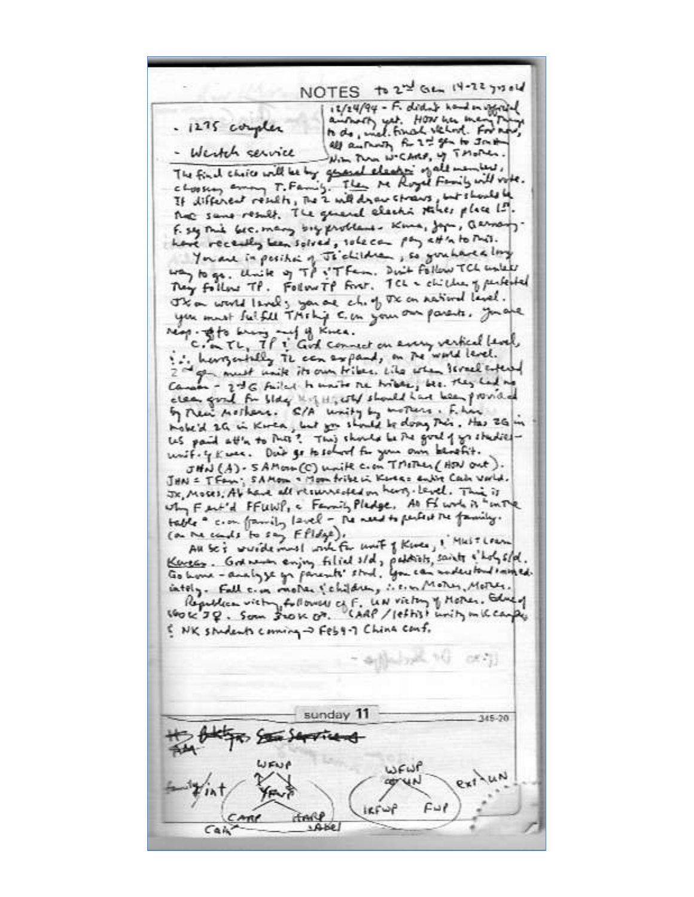NOTES to 2nd Gen 14-22 you'll  $11/24/94 - F. did$  bid bod in order amshortly yet. How her me . 1275 complex to do, mal. final velod. For no all authority for 2 to the Jack With Prom WCARD, UP TMOPER. Wester service The final choice will be by grand cleaning of all members, chossen among T. Family. The Me Royal Family will vote. If different results, The 2 will draw straws, but should be That same result. The general electic stakes place I!! F. say This bec. many buy problems. Kina, Japa, Qermany. have recently been solved, sole can pay att's to this. You are in position of Thickidne, so grahave a long way to go. Unite of TP i'T fam. Duit follow TCL unless They follow TP. Follow TP Fort. TCL & children of perfected The world levels you are chief the on natural level. you must fulfill Thinking C. on your our parents, you are ring. Ato way - of of Knee.<br>C. a Th, If i God connect on every vertical level. I. have a telly The can expand, on the world level. 2 mg must unit its own tribes. Like when I creek entered clear good for blog kill, with should have been provided Les paid att'n to Puts? This should be the goal of you thediesunif. 4 Kwas. Dub go to solved for your own benefit. JHN (A) - SAMOIN (C) unite c. on TMITHLI ( HDJ out). JHN = TFam; SAMOIN = Moon fribe in Korea = enline Cash Varid. JR, MOSRS, Ab have all resurreated on harty-level. This is why Fert'd FFUNP, a Family Pledge, An Find in " uning table " c.on family lavel - The ment to perfect the family. (on the conds to say Ffldge). All Sci wurdermust with for unit of Knee, I Mest Learn Kensen. God with enjoy filied sld, polities, saints slot, sld. Go home - analyze go parents' stud. You can understand initial. entely. Fall c.m. mother (children, i.e.m. Mother, Mother. Republican victory followed of F. UN victory of Mother, Education of Canada Change S NK students coming -> Feb4-7 China conf. Schoolyn, NJ  $-255.71$ sunday 11 345-20  $5200 + 14$ WENG WFWP Fui  $ker$  $u$ **TANY**  $1460$